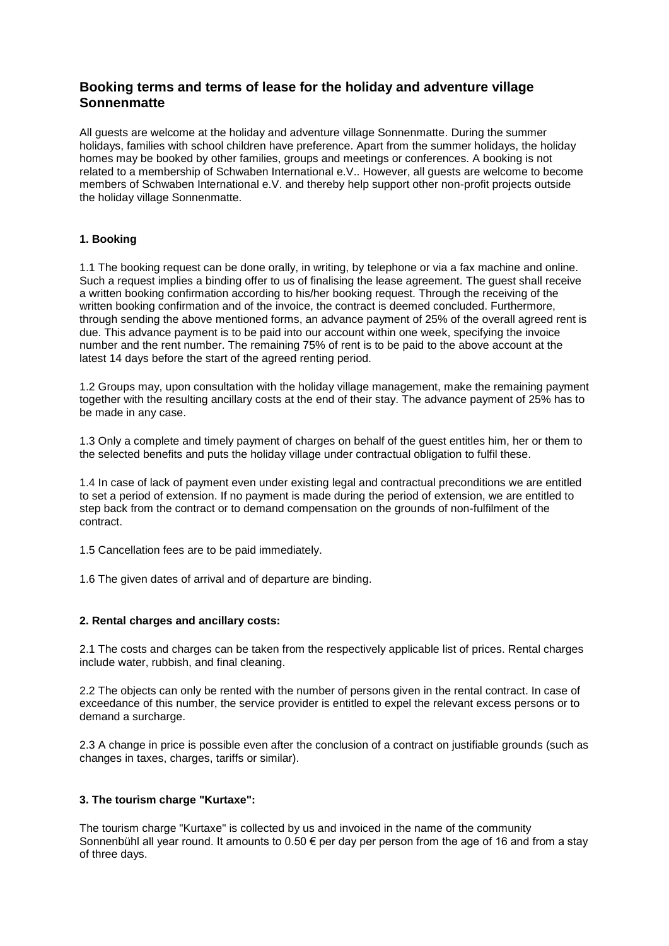# **Booking terms and terms of lease for the holiday and adventure village Sonnenmatte**

All guests are welcome at the holiday and adventure village Sonnenmatte. During the summer holidays, families with school children have preference. Apart from the summer holidays, the holiday homes may be booked by other families, groups and meetings or conferences. A booking is not related to a membership of Schwaben International e.V.. However, all guests are welcome to become members of Schwaben International e.V. and thereby help support other non-profit projects outside the holiday village Sonnenmatte.

### **1. Booking**

1.1 The booking request can be done orally, in writing, by telephone or via a fax machine and online. Such a request implies a binding offer to us of finalising the lease agreement. The guest shall receive a written booking confirmation according to his/her booking request. Through the receiving of the written booking confirmation and of the invoice, the contract is deemed concluded. Furthermore, through sending the above mentioned forms, an advance payment of 25% of the overall agreed rent is due. This advance payment is to be paid into our account within one week, specifying the invoice number and the rent number. The remaining 75% of rent is to be paid to the above account at the latest 14 days before the start of the agreed renting period.

1.2 Groups may, upon consultation with the holiday village management, make the remaining payment together with the resulting ancillary costs at the end of their stay. The advance payment of 25% has to be made in any case.

1.3 Only a complete and timely payment of charges on behalf of the guest entitles him, her or them to the selected benefits and puts the holiday village under contractual obligation to fulfil these.

1.4 In case of lack of payment even under existing legal and contractual preconditions we are entitled to set a period of extension. If no payment is made during the period of extension, we are entitled to step back from the contract or to demand compensation on the grounds of non-fulfilment of the contract.

1.5 Cancellation fees are to be paid immediately.

1.6 The given dates of arrival and of departure are binding.

### **2. Rental charges and ancillary costs:**

2.1 The costs and charges can be taken from the respectively applicable list of prices. Rental charges include water, rubbish, and final cleaning.

2.2 The objects can only be rented with the number of persons given in the rental contract. In case of exceedance of this number, the service provider is entitled to expel the relevant excess persons or to demand a surcharge.

2.3 A change in price is possible even after the conclusion of a contract on justifiable grounds (such as changes in taxes, charges, tariffs or similar).

### **3. The tourism charge "Kurtaxe":**

The tourism charge "Kurtaxe" is collected by us and invoiced in the name of the community Sonnenbühl all year round. It amounts to 0.50  $\epsilon$  per day per person from the age of 16 and from a stay of three days.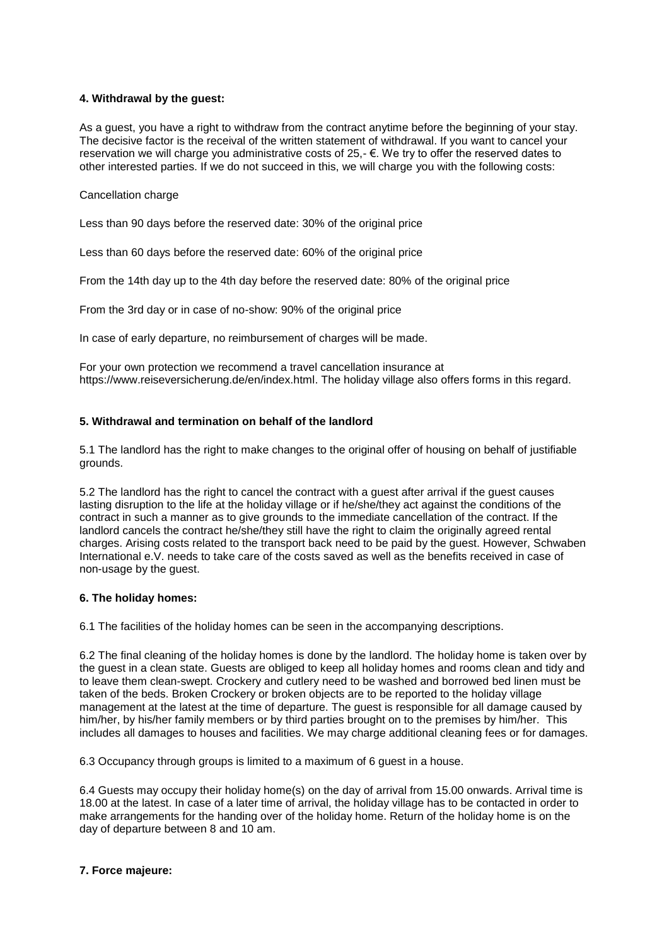### **4. Withdrawal by the guest:**

As a guest, you have a right to withdraw from the contract anytime before the beginning of your stay. The decisive factor is the receival of the written statement of withdrawal. If you want to cancel your reservation we will charge you administrative costs of 25,- €. We try to offer the reserved dates to other interested parties. If we do not succeed in this, we will charge you with the following costs:

#### Cancellation charge

Less than 90 days before the reserved date: 30% of the original price

Less than 60 days before the reserved date: 60% of the original price

From the 14th day up to the 4th day before the reserved date: 80% of the original price

From the 3rd day or in case of no-show: 90% of the original price

In case of early departure, no reimbursement of charges will be made.

For your own protection we recommend a travel cancellation insurance at https://www.reiseversicherung.de/en/index.html. The holiday village also offers forms in this regard.

#### **5. Withdrawal and termination on behalf of the landlord**

5.1 The landlord has the right to make changes to the original offer of housing on behalf of justifiable grounds.

5.2 The landlord has the right to cancel the contract with a guest after arrival if the guest causes lasting disruption to the life at the holiday village or if he/she/they act against the conditions of the contract in such a manner as to give grounds to the immediate cancellation of the contract. If the landlord cancels the contract he/she/they still have the right to claim the originally agreed rental charges. Arising costs related to the transport back need to be paid by the guest. However, Schwaben International e.V. needs to take care of the costs saved as well as the benefits received in case of non-usage by the guest.

#### **6. The holiday homes:**

6.1 The facilities of the holiday homes can be seen in the accompanying descriptions.

6.2 The final cleaning of the holiday homes is done by the landlord. The holiday home is taken over by the guest in a clean state. Guests are obliged to keep all holiday homes and rooms clean and tidy and to leave them clean-swept. Crockery and cutlery need to be washed and borrowed bed linen must be taken of the beds. Broken Crockery or broken objects are to be reported to the holiday village management at the latest at the time of departure. The guest is responsible for all damage caused by him/her, by his/her family members or by third parties brought on to the premises by him/her. This includes all damages to houses and facilities. We may charge additional cleaning fees or for damages.

6.3 Occupancy through groups is limited to a maximum of 6 guest in a house.

6.4 Guests may occupy their holiday home(s) on the day of arrival from 15.00 onwards. Arrival time is 18.00 at the latest. In case of a later time of arrival, the holiday village has to be contacted in order to make arrangements for the handing over of the holiday home. Return of the holiday home is on the day of departure between 8 and 10 am.

### **7. Force majeure:**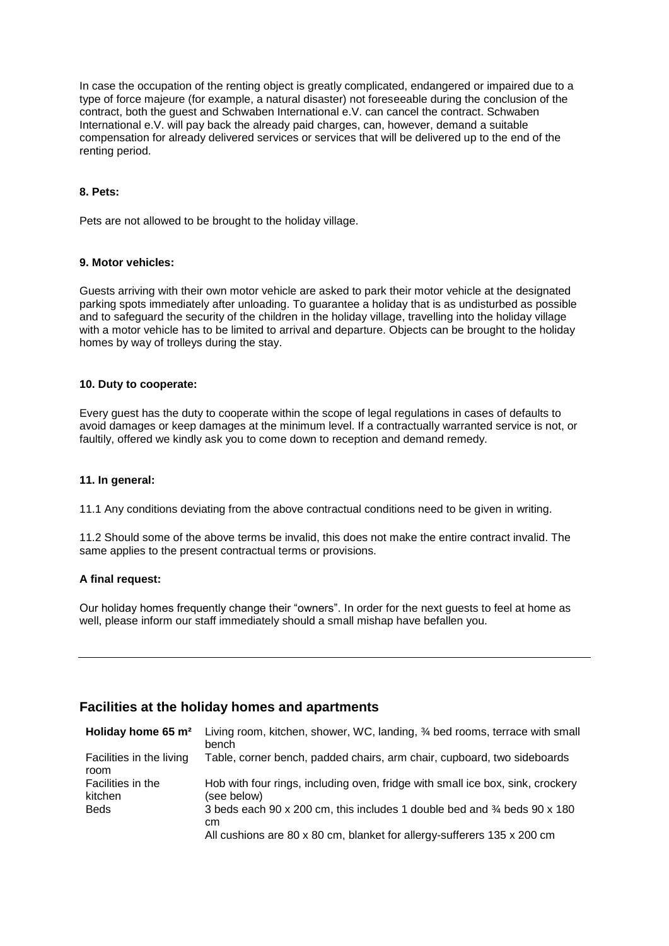In case the occupation of the renting object is greatly complicated, endangered or impaired due to a type of force majeure (for example, a natural disaster) not foreseeable during the conclusion of the contract, both the guest and Schwaben International e.V. can cancel the contract. Schwaben International e.V. will pay back the already paid charges, can, however, demand a suitable compensation for already delivered services or services that will be delivered up to the end of the renting period.

### **8. Pets:**

Pets are not allowed to be brought to the holiday village.

#### **9. Motor vehicles:**

Guests arriving with their own motor vehicle are asked to park their motor vehicle at the designated parking spots immediately after unloading. To guarantee a holiday that is as undisturbed as possible and to safeguard the security of the children in the holiday village, travelling into the holiday village with a motor vehicle has to be limited to arrival and departure. Objects can be brought to the holiday homes by way of trolleys during the stay.

#### **10. Duty to cooperate:**

Every guest has the duty to cooperate within the scope of legal regulations in cases of defaults to avoid damages or keep damages at the minimum level. If a contractually warranted service is not, or faultily, offered we kindly ask you to come down to reception and demand remedy.

#### **11. In general:**

11.1 Any conditions deviating from the above contractual conditions need to be given in writing.

11.2 Should some of the above terms be invalid, this does not make the entire contract invalid. The same applies to the present contractual terms or provisions.

#### **A final request:**

Our holiday homes frequently change their "owners". In order for the next guests to feel at home as well, please inform our staff immediately should a small mishap have befallen you.

## **Facilities at the holiday homes and apartments**

| Holiday home 65 m <sup>2</sup>   | Living room, kitchen, shower, WC, landing, 34 bed rooms, terrace with small<br>bench           |
|----------------------------------|------------------------------------------------------------------------------------------------|
| Facilities in the living<br>room | Table, corner bench, padded chairs, arm chair, cupboard, two sideboards                        |
| Facilities in the<br>kitchen     | Hob with four rings, including oven, fridge with small ice box, sink, crockery<br>(see below). |
| <b>Beds</b>                      | 3 beds each 90 x 200 cm, this includes 1 double bed and 34 beds 90 x 180<br>cm.                |
|                                  | All cushions are 80 x 80 cm, blanket for allergy-sufferers 135 x 200 cm                        |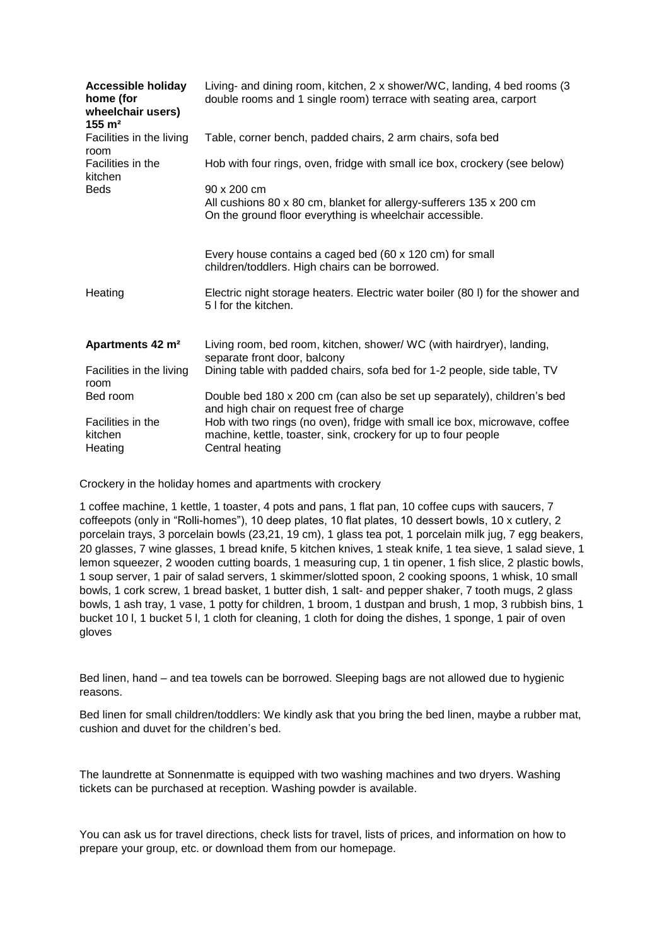| <b>Accessible holiday</b><br>home (for<br>wheelchair users)<br>$155 \; \text{m}^2$ | Living- and dining room, kitchen, 2 x shower/WC, landing, 4 bed rooms (3<br>double rooms and 1 single room) terrace with seating area, carport                  |
|------------------------------------------------------------------------------------|-----------------------------------------------------------------------------------------------------------------------------------------------------------------|
| Facilities in the living<br>room                                                   | Table, corner bench, padded chairs, 2 arm chairs, sofa bed                                                                                                      |
| Facilities in the<br>kitchen                                                       | Hob with four rings, oven, fridge with small ice box, crockery (see below)                                                                                      |
| <b>Beds</b>                                                                        | 90 x 200 cm                                                                                                                                                     |
|                                                                                    | All cushions 80 x 80 cm, blanket for allergy-sufferers 135 x 200 cm<br>On the ground floor everything is wheelchair accessible.                                 |
|                                                                                    | Every house contains a caged bed (60 x 120 cm) for small<br>children/toddlers. High chairs can be borrowed.                                                     |
| Heating                                                                            | Electric night storage heaters. Electric water boiler (80 I) for the shower and<br>5 I for the kitchen.                                                         |
| Apartments 42 m <sup>2</sup>                                                       | Living room, bed room, kitchen, shower/ WC (with hairdryer), landing,<br>separate front door, balcony                                                           |
| Facilities in the living<br>room                                                   | Dining table with padded chairs, sofa bed for 1-2 people, side table, TV                                                                                        |
| Bed room                                                                           | Double bed 180 x 200 cm (can also be set up separately), children's bed<br>and high chair on request free of charge                                             |
| Facilities in the<br>kitchen<br>Heating                                            | Hob with two rings (no oven), fridge with small ice box, microwave, coffee<br>machine, kettle, toaster, sink, crockery for up to four people<br>Central heating |

Crockery in the holiday homes and apartments with crockery

1 coffee machine, 1 kettle, 1 toaster, 4 pots and pans, 1 flat pan, 10 coffee cups with saucers, 7 coffeepots (only in "Rolli-homes"), 10 deep plates, 10 flat plates, 10 dessert bowls, 10 x cutlery, 2 porcelain trays, 3 porcelain bowls (23,21, 19 cm), 1 glass tea pot, 1 porcelain milk jug, 7 egg beakers, 20 glasses, 7 wine glasses, 1 bread knife, 5 kitchen knives, 1 steak knife, 1 tea sieve, 1 salad sieve, 1 lemon squeezer, 2 wooden cutting boards, 1 measuring cup, 1 tin opener, 1 fish slice, 2 plastic bowls, 1 soup server, 1 pair of salad servers, 1 skimmer/slotted spoon, 2 cooking spoons, 1 whisk, 10 small bowls, 1 cork screw, 1 bread basket, 1 butter dish, 1 salt- and pepper shaker, 7 tooth mugs, 2 glass bowls, 1 ash tray, 1 vase, 1 potty for children, 1 broom, 1 dustpan and brush, 1 mop, 3 rubbish bins, 1 bucket 10 l, 1 bucket 5 l, 1 cloth for cleaning, 1 cloth for doing the dishes, 1 sponge, 1 pair of oven gloves

Bed linen, hand – and tea towels can be borrowed. Sleeping bags are not allowed due to hygienic reasons.

Bed linen for small children/toddlers: We kindly ask that you bring the bed linen, maybe a rubber mat, cushion and duvet for the children's bed.

The laundrette at Sonnenmatte is equipped with two washing machines and two dryers. Washing tickets can be purchased at reception. Washing powder is available.

You can ask us for travel directions, check lists for travel, lists of prices, and information on how to prepare your group, etc. or download them from our homepage.